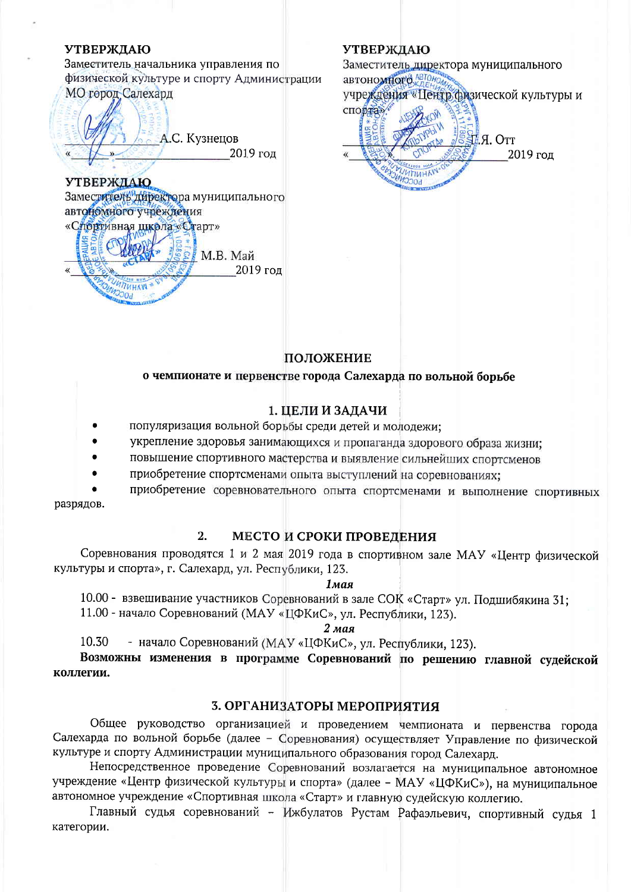#### **УТВЕРЖДАЮ**

Заместитель начальника управления по физической культуре и спорту Администрации МО город Салехард

А.С. Кузнецов 2019 год  $\mathbf{v}$ 

# **УТВЕРЖЛАЮ**

Заместитель директора муниципального автономного учреждения «Спортивная школа «Старт»  $M.B.$  Май 2019 год **UTHAN MOCCNI** 

### **УТВЕРЖДАЮ**



### ПОЛОЖЕНИЕ

### о чемпионате и первенстве города Салехарда по вольной борьбе

### 1. ЦЕЛИ И ЗАДАЧИ

- популяризация вольной борьбы среди детей и молодежи:
- укрепление здоровья занимающихся и пропаганда здорового образа жизни;
- повышение спортивного мастерства и выявление сильнейших спортсменов
- приобретение спортсменами опыта выступлений на соревнованиях:

приобретение соревновательного опыта спортсменами и выполнение спортивных разрядов.

#### $2.$ МЕСТО И СРОКИ ПРОВЕДЕНИЯ

Соревнования проводятся 1 и 2 мая 2019 года в спортивном зале МАУ «Центр физической культуры и спорта», г. Салехард, ул. Республики, 123.

**1мая** 

10.00 - взвешивание участников Соревнований в зале СОК «Старт» ул. Подшибякина 31;

11.00 - начало Соревнований (МАУ «ЦФКиС», ул. Республики, 123).

#### $2$  мая

- начало Соревнований (МАУ «ЦФКиС», ул. Республики, 123). 10.30

Возможны изменения в программе Соревнований по решению главной судейской коллегии.

#### 3. ОРГАНИЗАТОРЫ МЕРОПРИЯТИЯ

Общее руководство организацией и проведением чемпионата и первенства города Салехарда по вольной борьбе (далее - Соревнования) осуществляет Управление по физической культуре и спорту Администрации муниципального образования город Салехард.

Непосредственное проведение Соревнований возлагается на муниципальное автономное учреждение «Центр физической культуры и спорта» (далее - МАУ «ЦФКиС»), на муниципальное автономное учреждение «Спортивная школа «Старт» и главную судейскую коллегию.

Главный судья соревнований - Ижбулатов Рустам Рафаэльевич, спортивный судья 1 категории.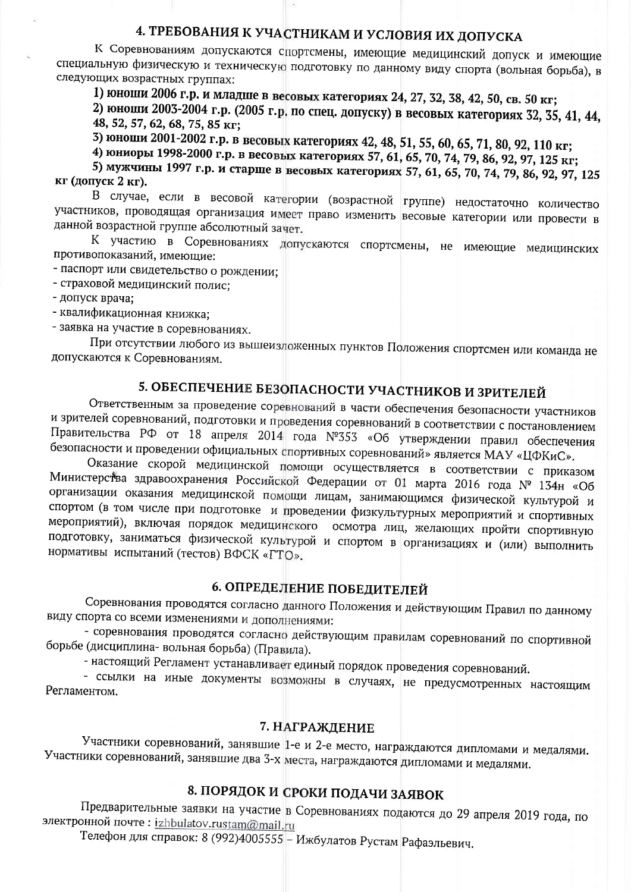# 4. ТРЕБОВАНИЯ К УЧАСТНИКАМ И УСЛОВИЯ ИХ ДОПУСКА

К Соревнованиям допускаются спортсмены, имеющие медицинский допуск и имеющие специальную физическую и техническую подготовку по данному виду спорта (вольная борьба), в следующих возрастных группах:

1) юноши 2006 г.р. и младше в весовых категориях 24, 27, 32, 38, 42, 50, св. 50 кг;

2) юноши 2003-2004 г.р. (2005 г.р. по спец. допуску) в весовых категориях 32, 35, 41, 44, 48, 52, 57, 62, 68, 75, 85 KF;

3) юноши 2001-2002 г.р. в весовых категориях 42, 48, 51, 55, 60, 65, 71, 80, 92, 110 кг;

4) юниоры 1998-2000 г.р. в весовых категориях 57, 61, 65, 70, 74, 79, 86, 92, 97, 125 кг;

5) мужчины 1997 г.р. и старше в весовых категориях 57, 61, 65, 70, 74, 79, 86, 92, 97, 125 КГ (ДОПУСК 2 КГ).

В случае, если в весовой категории (возрастной группе) недостаточно количество участников, проводящая организация имеет право изменить весовые категории или провести в данной возрастной группе абсолютный зачет.

К участию в Соревнованиях допускаются спортсмены, не имеющие медицинских противопоказаний, имеющие:

- паспорт или свидетельство о рождении;

- страховой медицинский полис:

- допуск врача:

- квалификационная книжка;

- заявка на участие в соревнованиях.

При отсутствии любого из вышеизложенных пунктов Положения спортсмен или команда не допускаются к Соревнованиям.

# 5. ОБЕСПЕЧЕНИЕ БЕЗОПАСНОСТИ УЧАСТНИКОВ И ЗРИТЕЛЕЙ

Ответственным за проведение соревнований в части обеспечения безопасности участников и зрителей соревнований, подготовки и проведения соревнований в соответствии с постановлением Правительства РФ от 18 апреля 2014 года №353 «Об утверждении правил обеспечения безопасности и проведении официальных спортивных соревнований» является МАУ «ЦФКиС».

Оказание скорой медицинской помощи осуществляется в соответствии с приказом Министерства здравоохранения Российской Федерации от 01 марта 2016 года № 134н «Об организации оказания медицинской помощи лицам, занимающимся физической культурой и спортом (в том числе при подготовке и проведении физкультурных мероприятий и спортивных мероприятий), включая порядок медицинского осмотра лиц, желающих пройти спортивную подготовку, заниматься физической культурой и спортом в организациях и (или) выполнить нормативы испытаний (тестов) ВФСК «ГТО».

## 6. ОПРЕДЕЛЕНИЕ ПОБЕДИТЕЛЕЙ

Соревнования проводятся согласно данного Положения и действующим Правил по данному виду спорта со всеми изменениями и дополнениями:

- соревнования проводятся согласно действующим правилам соревнований по спортивной борьбе (дисциплина-вольная борьба) (Правила).

- настоящий Регламент устанавливает единый порядок проведения соревнований.

- ссылки на иные документы возможны в случаях, не предусмотренных настоящим Регламентом.

### 7. НАГРАЖДЕНИЕ

Участники соревнований, занявшие 1-е и 2-е место, награждаются дипломами и медалями. Участники соревнований, занявшие два 3-х места, награждаются дипломами и медалями.

# 8. ПОРЯДОК И СРОКИ ПОДАЧИ ЗАЯВОК

Предварительные заявки на участие в Соревнованиях подаются до 29 апреля 2019 года, по электронной почте: izhbulatov.rustam@mail.ru

Телефон для справок: 8 (992)4005555 - Ижбулатов Рустам Рафаэльевич.